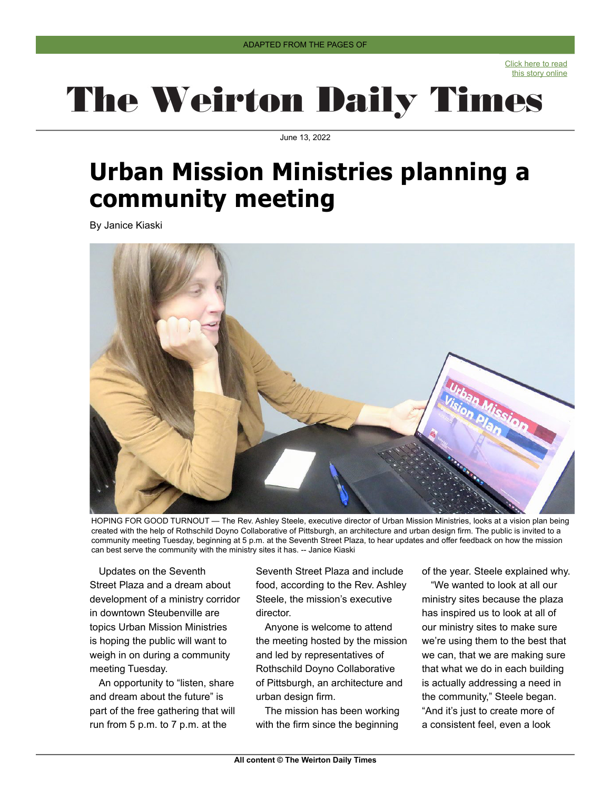Click here to read [this story online](https://www.weirtondailytimes.com/news/local-news/2022/06/urban-mission-ministries-planning-a-community-meeting/)

## **The Weirton Daily Times**

June 13, 2022

## **Urban Mission Ministries planning a community meeting**

By Janice Kiaski



HOPING FOR GOOD TURNOUT — The Rev. Ashley Steele, executive director of Urban Mission Ministries, looks at a vision plan being created with the help of Rothschild Doyno Collaborative of Pittsburgh, an architecture and urban design firm. The public is invited to a community meeting Tuesday, beginning at 5 p.m. at the Seventh Street Plaza, to hear updates and offer feedback on how the mission can best serve the community with the ministry sites it has. -- Janice Kiaski

Updates on the Seventh Street Plaza and a dream about development of a ministry corridor in downtown Steubenville are topics Urban Mission Ministries is hoping the public will want to weigh in on during a community meeting Tuesday.

An opportunity to "listen, share and dream about the future" is part of the free gathering that will run from 5 p.m. to 7 p.m. at the

Seventh Street Plaza and include food, according to the Rev. Ashley Steele, the mission's executive director.

Anyone is welcome to attend the meeting hosted by the mission and led by representatives of Rothschild Doyno Collaborative of Pittsburgh, an architecture and urban design firm.

The mission has been working with the firm since the beginning of the year. Steele explained why.

"We wanted to look at all our ministry sites because the plaza has inspired us to look at all of our ministry sites to make sure we're using them to the best that we can, that we are making sure that what we do in each building is actually addressing a need in the community," Steele began. "And it's just to create more of a consistent feel, even a look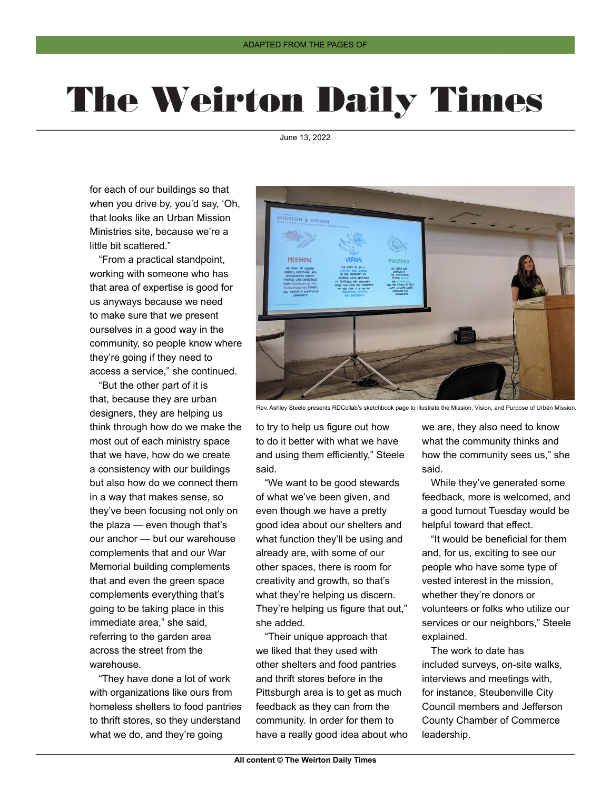## **The Weirton Daily Times**

June 13, 2022

for each of our buildings so that when you drive by, you'd say, 'Oh, that looks like an Urban Mission Ministries site, because we're a little bit scattered."

"From a practical standpoint, working with someone who has that area of expertise is good for us anyways because we need to make sure that we present ourselves in a good way in the community, so people know where they're going if they need to access a service," she continued.

"But the other part of it is that, because they are urban designers, they are helping us think through how do we make the most out of each ministry space that we have, how do we create a consistency with our buildings but also how do we connect them in a way that makes sense, so they've been focusing not only on the plaza — even though that's our anchor — but our warehouse complements that and our War Memorial building complements that and even the green space complements everything that's going to be taking place in this immediate area," she said, referring to the garden area across the street from the warehouse.

"They have done a lot of work with organizations like ours from homeless shelters to food pantries to thrift stores, so they understand what we do, and they're going



Rev. Ashley Steele presents RDCollab's sketchbook page to illustrate the Mission, Vision, and Purpose of Urban Mission.

to try to help us figure out how to do it better with what we have and using them efficiently," Steele said.

"We want to be good stewards of what we've been given, and even though we have a pretty good idea about our shelters and what function they'll be using and already are, with some of our other spaces, there is room for creativity and growth, so that's what they're helping us discern. They're helping us figure that out," she added.

"Their unique approach that we liked that they used with other shelters and food pantries and thrift stores before in the Pittsburgh area is to get as much feedback as they can from the community. In order for them to have a really good idea about who we are, they also need to know what the community thinks and how the community sees us," she said.

While they've generated some feedback, more is welcomed, and a good turnout Tuesday would be helpful toward that effect.

"It would be beneficial for them and, for us, exciting to see our people who have some type of vested interest in the mission, whether they're donors or volunteers or folks who utilize our services or our neighbors," Steele explained.

The work to date has included surveys, on-site walks, interviews and meetings with, for instance, Steubenville City Council members and Jefferson County Chamber of Commerce leadership.